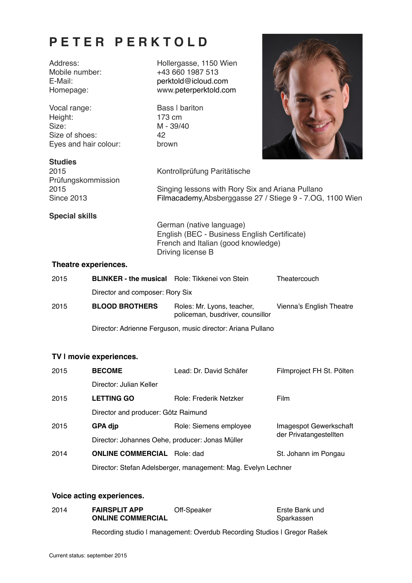# **PETER PERKTOLD**

Vocal range: Bass I bariton Height: 173 cm Size: M - 39/40<br>Size of shoes: 42 Size of shoes: Eyes and hair colour: brown

Address: Hollergasse, 1150 Wien Mobile number: +43 660 1987 513<br>
F-Mail: example and the necktold@icloud.com E-Mail: [perktold@icloud.com](mailto:perktold@icloud.com) Homepage: www[.peterperktold.com](http://peterperktold.com)



# **Studies**

2015 Kontrollprüfung Paritätische Prüfungskommission

2015 Singing lessons with Rory Six and Ariana Pullano Since 2013 [Filmacademy,](http://www.filmacademy.at)Absberggasse 27 / Stiege 9 - 7.OG, 1100 Wien

# **Special skills**

German (native language) English (BEC - Business English Certificate) French and Italian (good knowledge) Driving license B

### **Theatre experiences.**

| 2015 | <b>BLINKER - the musical</b> Role: Tikkenei von Stein                      |                                                                | Theatercouch             |  |  |
|------|----------------------------------------------------------------------------|----------------------------------------------------------------|--------------------------|--|--|
|      | Director and composer: Rory Six                                            |                                                                |                          |  |  |
| 2015 | <b>BLOOD BROTHERS</b>                                                      | Roles: Mr. Lyons, teacher,<br>policeman, busdriver, counsillor | Vienna's English Theatre |  |  |
|      | Discourses Additionale Express consideration and an Additional Duffered in |                                                                |                          |  |  |

Director: Adrienne Ferguson, music director: Ariana Pullano

# **TV | movie experiences.**

| 2015 | <b>BECOME</b>                                                             | Lead: Dr. David Schäfer | Filmproject FH St. Pölten |  |  |
|------|---------------------------------------------------------------------------|-------------------------|---------------------------|--|--|
|      | Director: Julian Keller                                                   |                         |                           |  |  |
| 2015 | <b>LETTING GO</b>                                                         | Role: Frederik Netzker  | <b>Film</b>               |  |  |
|      | Director and producer: Götz Raimund                                       |                         |                           |  |  |
| 2015 | <b>GPA dip</b>                                                            | Role: Siemens employee  | Imagespot Gewerkschaft    |  |  |
|      | der Privatangestellten<br>Director: Johannes Oehe, producer: Jonas Müller |                         |                           |  |  |
| 2014 | <b>ONLINE COMMERCIAL</b>                                                  | Role: dad               | St. Johann im Pongau      |  |  |
|      | Director: Stefan Adelsberger, management: Mag. Evelyn Lechner             |                         |                           |  |  |

# **Voice acting experiences.**

| 2014 | <b>FAIRSPLIT APP</b>     | Off-Speaker | Erste Bank und |
|------|--------------------------|-------------|----------------|
|      | <b>ONLINE COMMERCIAL</b> |             | Sparkassen     |
|      |                          |             |                |

Recording studio I management: Overdub Recording Studios I Gregor Rašek